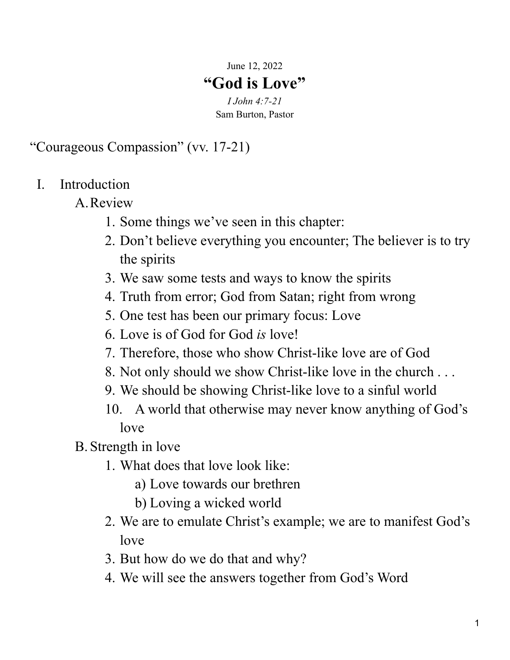June 12, 2022

## **"God is Love"**

*I John 4:7-21* Sam Burton, Pastor

"Courageous Compassion" (vv. 17-21)

- I. Introduction
	- A.Review
		- 1. Some things we've seen in this chapter:
		- 2. Don't believe everything you encounter; The believer is to try the spirits
		- 3. We saw some tests and ways to know the spirits
		- 4. Truth from error; God from Satan; right from wrong
		- 5. One test has been our primary focus: Love
		- 6. Love is of God for God *is* love!
		- 7. Therefore, those who show Christ-like love are of God
		- 8. Not only should we show Christ-like love in the church . . .
		- 9. We should be showing Christ-like love to a sinful world
		- 10. A world that otherwise may never know anything of God's love
	- B. Strength in love
		- 1. What does that love look like:
			- a) Love towards our brethren
			- b) Loving a wicked world
		- 2. We are to emulate Christ's example; we are to manifest God's love
		- 3. But how do we do that and why?
		- 4. We will see the answers together from God's Word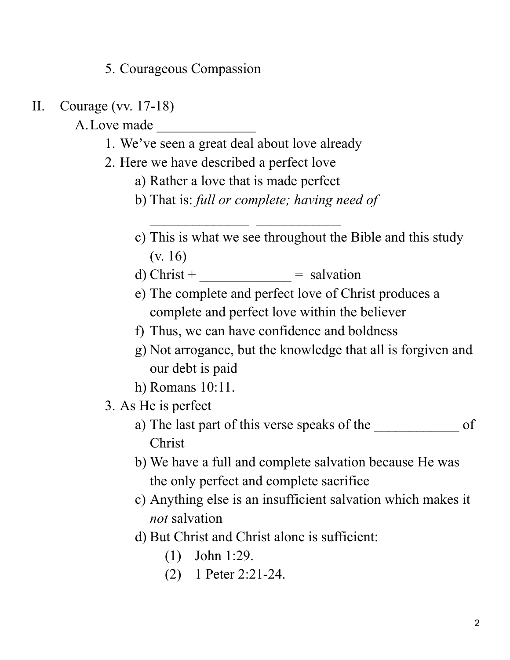5. Courageous Compassion

- II. Courage (vv. 17-18)
	- A. Love made
		- 1. We've seen a great deal about love already
		- 2. Here we have described a perfect love
			- a) Rather a love that is made perfect
			- b) That is: *full or complete; having need of*
			- c) This is what we see throughout the Bible and this study (v. 16)
			- d) Christ + \_\_\_\_\_\_\_\_\_\_\_\_ = salvation
			- e) The complete and perfect love of Christ produces a complete and perfect love within the believer
			- f) Thus, we can have confidence and boldness
			- g) Not arrogance, but the knowledge that all is forgiven and our debt is paid
			- h) Romans 10:11.
		- 3. As He is perfect
			- a) The last part of this verse speaks of the of Christ
			- b) We have a full and complete salvation because He was the only perfect and complete sacrifice
			- c) Anything else is an insufficient salvation which makes it *not* salvation
			- d) But Christ and Christ alone is sufficient:
				- (1) John 1:29.
				- (2) 1 Peter 2:21-24.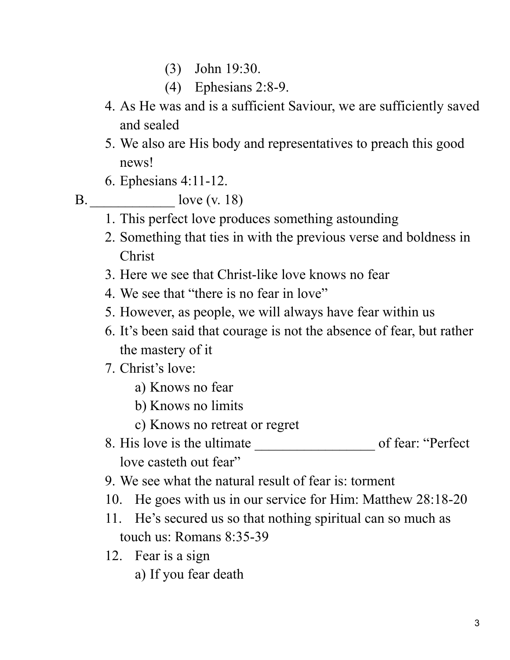- (3) John 19:30.
- (4) Ephesians 2:8-9.
- 4. As He was and is a sufficient Saviour, we are sufficiently saved and sealed
- 5. We also are His body and representatives to preach this good news!
- 6. Ephesians 4:11-12.
- 

B. \_\_\_\_\_\_\_\_\_\_\_\_ love (v. 18)

- 1. This perfect love produces something astounding
- 2. Something that ties in with the previous verse and boldness in Christ
- 3. Here we see that Christ-like love knows no fear
- 4. We see that "there is no fear in love"
- 5. However, as people, we will always have fear within us
- 6. It's been said that courage is not the absence of fear, but rather the mastery of it
- 7. Christ's love:
	- a) Knows no fear
	- b) Knows no limits
	- c) Knows no retreat or regret
- 8. His love is the ultimate \_\_\_\_\_\_\_\_\_\_\_\_\_\_\_\_\_ of fear: "Perfect love casteth out fear"
- 9. We see what the natural result of fear is: torment
- 10. He goes with us in our service for Him: Matthew 28:18-20
- 11. He's secured us so that nothing spiritual can so much as touch us: Romans 8:35-39
- 12. Fear is a sign
	- a) If you fear death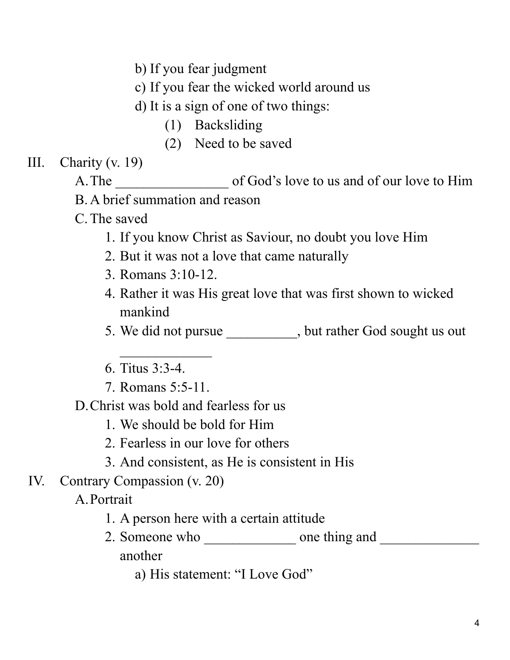b) If you fear judgment

c) If you fear the wicked world around us

- d) It is a sign of one of two things:
	- (1) Backsliding
	- (2) Need to be saved
- III. Charity (v. 19)
	- A. The of God's love to us and of our love to Him
	- B.A brief summation and reason
	- C.The saved
		- 1. If you know Christ as Saviour, no doubt you love Him
		- 2. But it was not a love that came naturally
		- 3. Romans 3:10-12.
		- 4. Rather it was His great love that was first shown to wicked mankind
		- 5. We did not pursue \_\_\_\_\_\_\_\_, but rather God sought us out
		- 6. Titus 3:3-4.
		- 7. Romans 5:5-11.
	- D.Christ was bold and fearless for us
		- 1. We should be bold for Him
		- 2. Fearless in our love for others
		- 3. And consistent, as He is consistent in His
- IV. Contrary Compassion (v. 20)
	- A.Portrait
		- 1. A person here with a certain attitude
		- 2. Someone who \_\_\_\_\_\_\_\_\_\_\_\_\_ one thing and \_\_\_\_\_\_\_\_\_\_\_\_\_\_ another
			- a) His statement: "I Love God"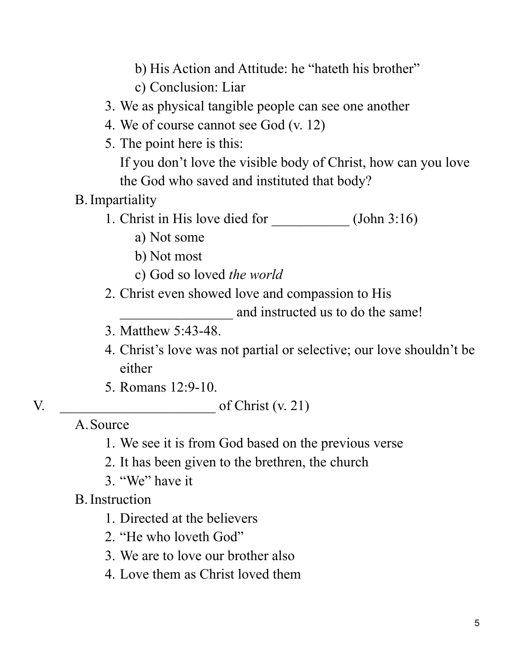- b) His Action and Attitude: he "hateth his brother"
- c) Conclusion: Liar
- 3. We as physical tangible people can see one another
- 4. We of course cannot see God (v. 12)
- 5. The point here is this:

If you don't love the visible body of Christ, how can you love the God who saved and instituted that body?

## B.Impartiality

- 1. Christ in His love died for (John 3:16)
	- a) Not some
	- b) Not most
	- c) God so loved *the world*
- 2. Christ even showed love and compassion to His

and instructed us to do the same!

- 3. Matthew 5:43-48.
- 4. Christ's love was not partial or selective; our love shouldn't be either
- 5. Romans 12:9-10.

## V.  $\qquad \qquad$  of Christ (v. 21)

A.Source

- 1. We see it is from God based on the previous verse
- 2. It has been given to the brethren, the church
- 3. "We" have it

## B.Instruction

- 1. Directed at the believers
- 2. "He who loveth God"
- 3. We are to love our brother also
- 4. Love them as Christ loved them